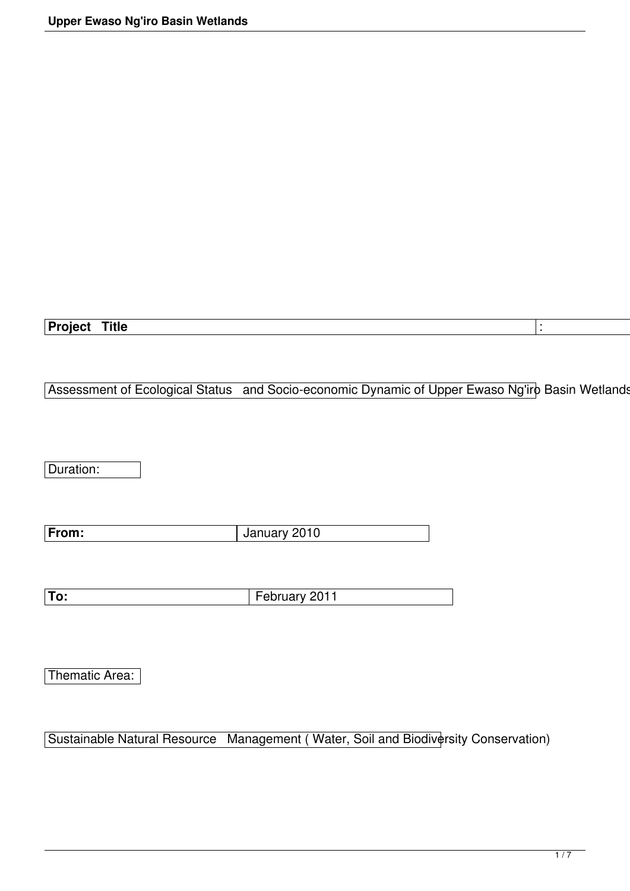## Project Title **Contained to the Contact of Contact Contact Contact Contact Contact Contact Contact Contact Contact Contact Contact Contact Contact Contact Contact Contact Contact Contact Contact Contact Contact Contact Con**

## Assessment of Ecological Status and Socio-economic Dynamic of Upper Ewaso Ng'iro Basin Wetlands

Duration:

| From: | January 2010 |
|-------|--------------|

Thematic Area:

Sustainable Natural Resource Management ( Water, Soil and Biodiversity Conservation)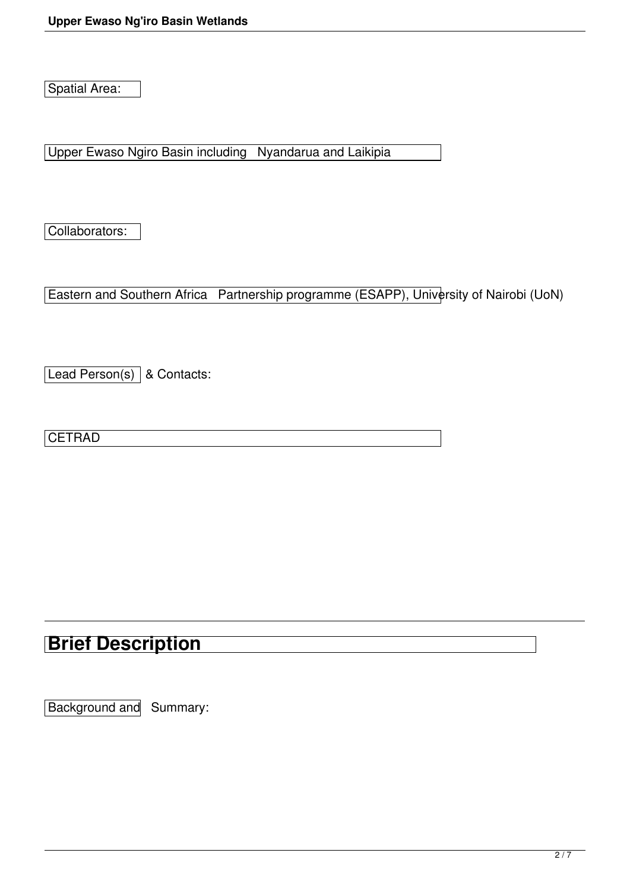Spatial Area:

Upper Ewaso Ngiro Basin including Nyandarua and Laikipia

Collaborators:

Eastern and Southern Africa Partnership programme (ESAPP), University of Nairobi (UoN)

[Lead Person(s)] & Contacts:

**CETRAD** 

## **Brief Description**

Background and Summary: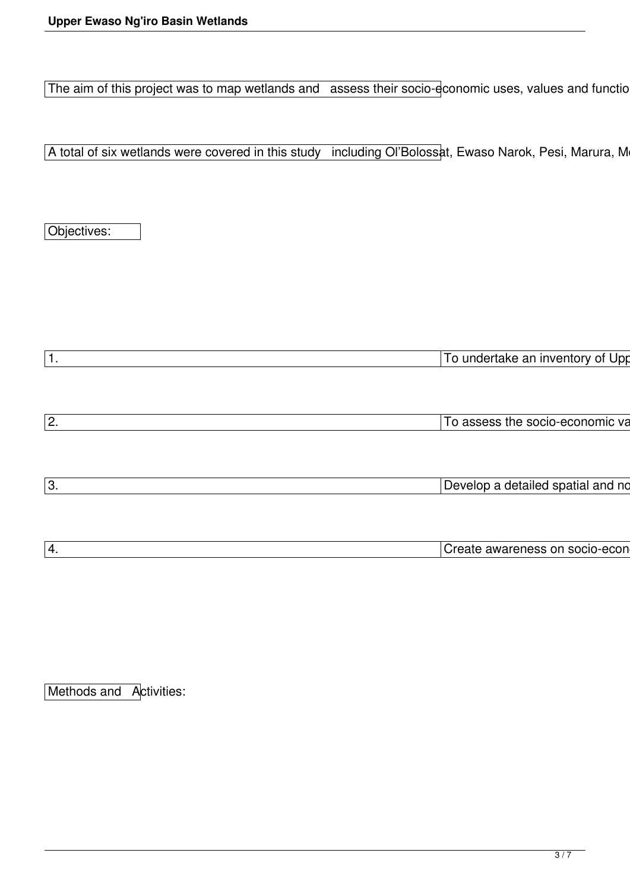The aim of this project was to map wetlands and assess their socio-economic uses, values and functio

A total of six wetlands were covered in this study including Ol'Bolossat, Ewaso Narok, Pesi, Marura, M

Objectives:

| To undertake an inventory of Upp  |  |
|-----------------------------------|--|
|                                   |  |
|                                   |  |
|                                   |  |
| To assess the socio-economic va   |  |
|                                   |  |
|                                   |  |
|                                   |  |
| Develop a detailed spatial and no |  |
|                                   |  |
|                                   |  |
| Create awareness on socio-econ    |  |
|                                   |  |

Methods and Activities: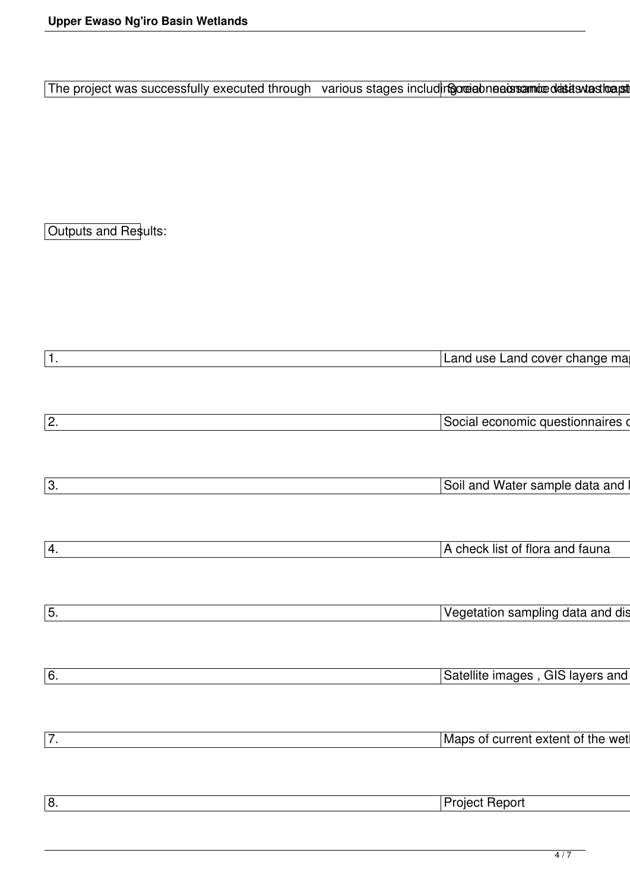The project was successfully executed through various stages includingordiabneatostaminted astast to apt

Outputs and Results:

| $\overline{1}$ . | Land use Land cover change ma     |
|------------------|-----------------------------------|
|                  |                                   |
|                  |                                   |
|                  |                                   |
| $\overline{2}$ . | Social economic questionnaires o  |
|                  |                                   |
|                  |                                   |
|                  |                                   |
| $\overline{3}$ . | Soil and Water sample data and I  |
|                  |                                   |
|                  |                                   |
|                  |                                   |
| $\overline{4.}$  | A check list of flora and fauna   |
|                  |                                   |
|                  |                                   |
|                  |                                   |
| $\boxed{5}$      | Vegetation sampling data and dis  |
|                  |                                   |
|                  |                                   |
|                  |                                   |
| $\boxed{6}$ .    | Satellite images, GIS layers and  |
|                  |                                   |
|                  |                                   |
|                  |                                   |
| $\overline{7}$ . | Maps of current extent of the wet |
|                  |                                   |
|                  |                                   |
|                  |                                   |
| $\overline{8}$ . | <b>Project Report</b>             |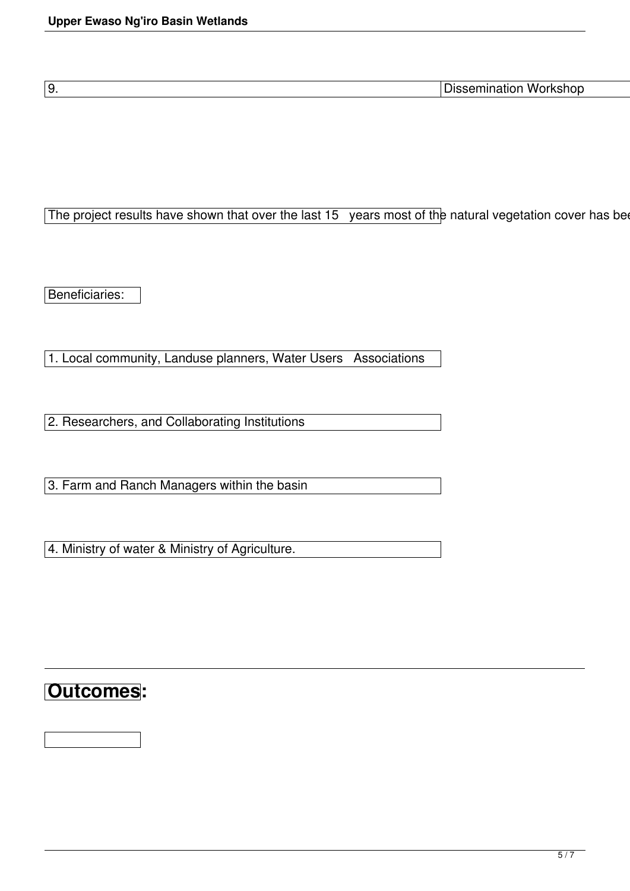9. Dissemination Workshop

The project results have shown that over the last 15 years most of the natural vegetation cover has been

Beneficiaries:

1. Local community, Landuse planners, Water Users Associations

2. Researchers, and Collaborating Institutions

3. Farm and Ranch Managers within the basin

4. Ministry of water & Ministry of Agriculture.

## **Outcomes:**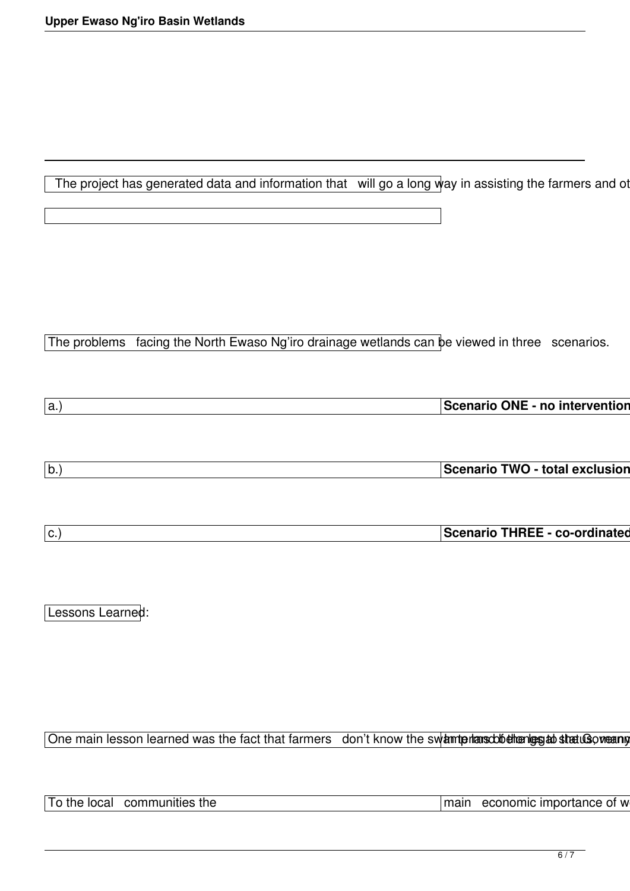The project has generated data and information that will go a long way in assisting the farmers and of

The problems facing the North Ewaso Ng'iro drainage wetlands can be viewed in three scenarios.

| $\overline{\overline{\Omega}}$ THRFF<br>----- |  |  |  |
|-----------------------------------------------|--|--|--|
| enano<br>- 99 Y.W                             |  |  |  |
|                                               |  |  |  |

Lessons Learned:

One main lesson learned was the fact that farmers don't know the swamtprians cobe then grand stratus of warm

To the local communities the **the contract of the contract of the contract of w** and the local communities the